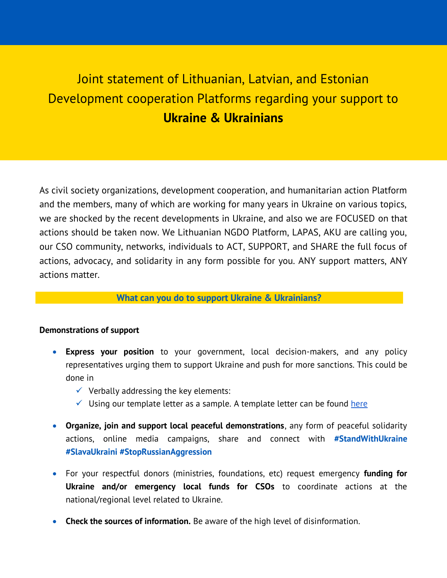## Joint statement of Lithuanian, Latvian, and Estonian Development cooperation Platforms regarding your support to **Ukraine & Ukrainians**

As civil society organizations, development cooperation, and humanitarian action Platform and the members, many of which are working for many years in Ukraine on various topics, we are shocked by the recent developments in Ukraine, and also we are FOCUSED on that actions should be taken now. We Lithuanian NGDO Platform, LAPAS, AKU are calling you, our CSO community, networks, individuals to ACT, SUPPORT, and SHARE the full focus of actions, advocacy, and solidarity in any form possible for you. ANY support matters, ANY actions matter.

## **What can you do to support Ukraine & Ukrainians?**

## **Demonstrations of support**

- **Express your position** to your government, local decision-makers, and any policy representatives urging them to support Ukraine and push for more sanctions. This could be done in
	- $\checkmark$  Verbally addressing the key elements:
	- $\checkmark$  Using our template letter as a sample. A template letter can be found here
- **Organize, join and support local peaceful demonstrations**, any form of peaceful solidarity actions, online media campaigns, share and connect with **#StandWithUkraine #SlavaUkraini #StopRussianAggression**
- For your respectful donors (ministries, foundations, etc) request emergency **funding for Ukraine and/or emergency local funds for CSOs** to coordinate actions at the national/regional level related to Ukraine.
- **Check the sources of information.** Be aware of the high level of disinformation.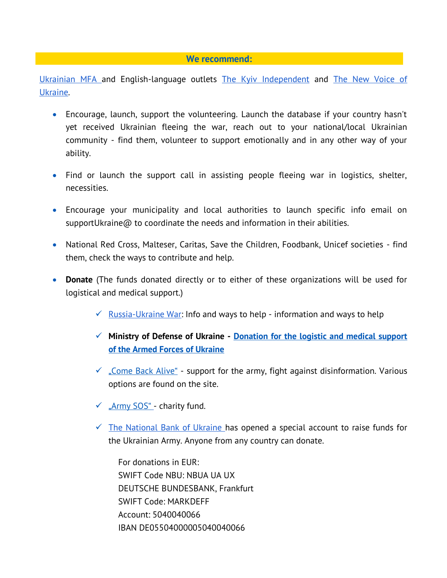## **We recommend:**

[Ukrainian MFA a](https://ukraine.ua/news/stand-with-ukraine/?fbclid=IwAR0M8CDOyVsi3_XFzYCkYsjAJZQOY0TWueDUIiO8_OV8CbBQrQIVf4r2j94)nd English-language outlets [The Kyiv Independent](https://ukrainianinstitute.us3.list-manage.com/track/click?u=90027925fbb0a265d44f4d1f6&id=fb4b3ba26a&e=40c896f876) and [The New Voice of](https://ukrainianinstitute.us3.list-manage.com/track/click?u=90027925fbb0a265d44f4d1f6&id=c816a8778a&e=40c896f876)  [Ukraine.](https://ukrainianinstitute.us3.list-manage.com/track/click?u=90027925fbb0a265d44f4d1f6&id=c816a8778a&e=40c896f876)

- Encourage, launch, support the volunteering. Launch the database if your country hasn't yet received Ukrainian fleeing the war, reach out to your national/local Ukrainian community - find them, volunteer to support emotionally and in any other way of your ability.
- Find or launch the support call in assisting people fleeing war in logistics, shelter, necessities.
- Encourage your municipality and local authorities to launch specific info email on supportUkraine $\omega$  to coordinate the needs and information in their abilities.
- National Red Cross, Malteser, Caritas, Save the Children, Foodbank, Unicef societies find them, check the ways to contribute and help.
- **Donate** (The funds donated directly or to either of these organizations will be used for logistical and medical support.)
	- $\checkmark$  [Russia-Ukraine War:](https://ukrainewar.carrd.co/) Info and ways to help information and ways to help
	- **Ministry of Defense of Ukraine - [Donation for the logistic and medical support](https://ukraine.ua/news/support-the-armed-forces-of-ukraine/?fbclid=IwAR1dZgmKLYYJ2_7HgN96hfR3ECk1YgikPbeVfeTkNXSLWQmlfy4jN9vPxRo)  [of the Armed Forces of Ukraine](https://ukraine.ua/news/support-the-armed-forces-of-ukraine/?fbclid=IwAR1dZgmKLYYJ2_7HgN96hfR3ECk1YgikPbeVfeTkNXSLWQmlfy4jN9vPxRo)**
	- $\checkmark$  . Come Back Alive " support for the army, fight against disinformation. Various options are found on the site.
	- $\checkmark$  ["Army SOS"](https://armysos.com.ua/en/help-the-army) charity fund.
	- $\checkmark$  [The National Bank of Ukraine h](https://bank.gov.ua/ua/news/all/natsionalniy-bank-vidkriv-spetsrahunok-dlya-zboru-koshtiv-na-potrebi-armiyi?fbclid=IwAR1cl0BuJenLz9erAYEuwiWBXIjoHzUoLtOWEFuJshwjnoByDEUAjGeRW4w)as opened a special account to raise funds for the Ukrainian Army. Anyone from any country can donate.

For donations in EUR: SWIFT Code NBU: NBUA UA UX DEUTSCHE BUNDESBANK, Frankfurt SWIFT Code: MARKDEFF Account: 5040040066 IBAN DE05504000005040040066